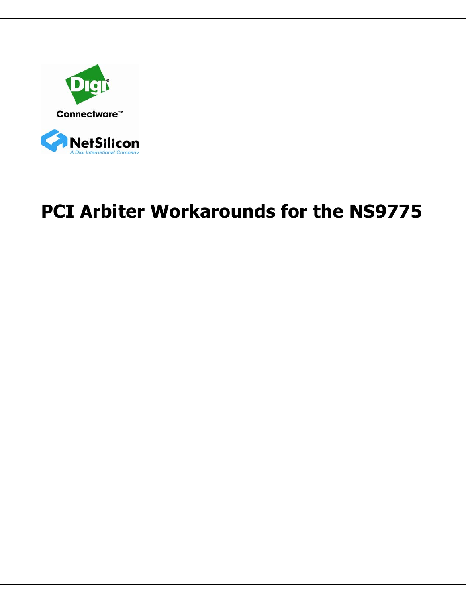



# **PCI Arbiter Workarounds for the NS9775**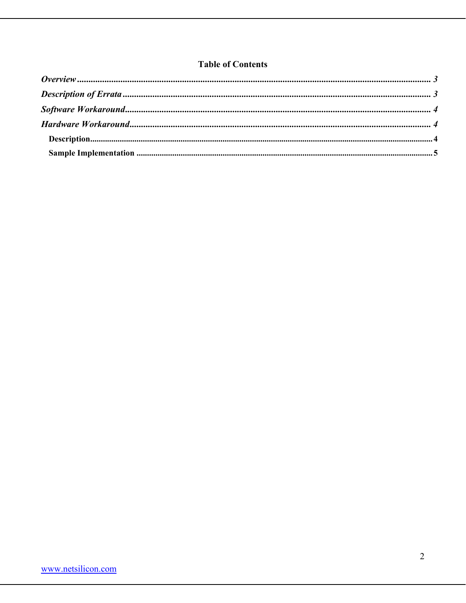## **Table of Contents**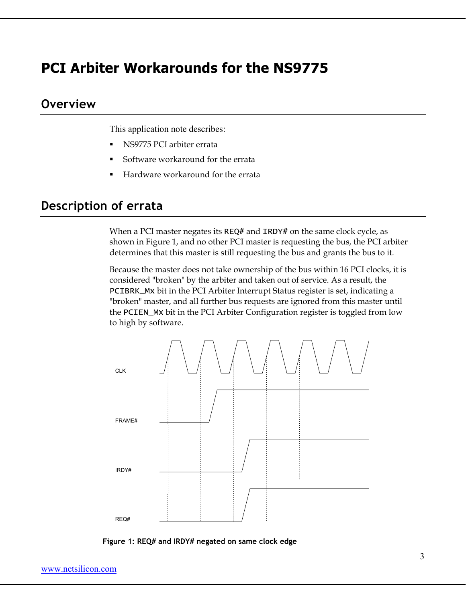## **PCI Arbiter Workarounds for the NS9775**

## **Overview**

This application note describes:

- NS9775 PCI arbiter errata
- Software workaround for the errata
- Hardware workaround for the errata

# **Description of errata**

When a PCI master negates its REQ# and IRDY# on the same clock cycle, as shown in Figure 1, and no other PCI master is requesting the bus, the PCI arbiter determines that this master is still requesting the bus and grants the bus to it.

Because the master does not take ownership of the bus within 16 PCI clocks, it is considered "broken" by the arbiter and taken out of service. As a result, the PCIBRK\_Mx bit in the PCI Arbiter Interrupt Status register is set, indicating a "broken" master, and all further bus requests are ignored from this master until the PCIEN\_Mx bit in the PCI Arbiter Configuration register is toggled from low to high by software.



**Figure 1: REQ# and IRDY# negated on same clock edge**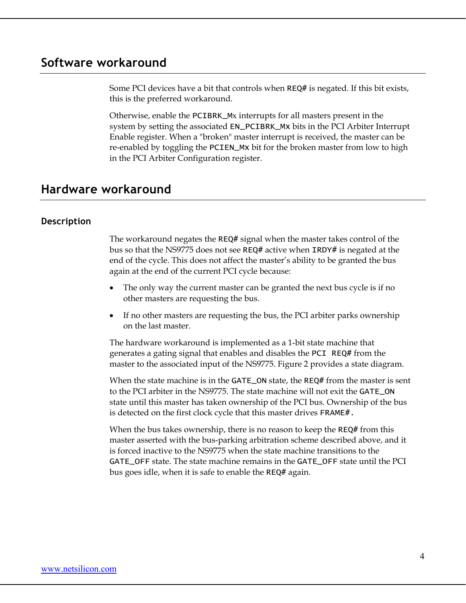## **Software workaround**

Some PCI devices have a bit that controls when REQ# is negated. If this bit exists, this is the preferred workaround.

Otherwise, enable the PCIBRK\_Mx interrupts for all masters present in the system by setting the associated EN\_PCIBRK\_Mx bits in the PCI Arbiter Interrupt Enable register. When a "broken" master interrupt is received, the master can be re-enabled by toggling the PCIEN\_Mx bit for the broken master from low to high in the PCI Arbiter Configuration register.

## **Hardware workaround**

#### **Description**

The workaround negates the REQ# signal when the master takes control of the bus so that the NS9775 does not see REQ# active when IRDY# is negated at the end of the cycle. This does not affect the master's ability to be granted the bus again at the end of the current PCI cycle because:

- The only way the current master can be granted the next bus cycle is if no other masters are requesting the bus.
- If no other masters are requesting the bus, the PCI arbiter parks ownership on the last master.

The hardware workaround is implemented as a 1-bit state machine that generates a gating signal that enables and disables the PCI REQ# from the master to the associated input of the NS9775. Figure 2 provides a state diagram.

When the state machine is in the GATE\_ON state, the REQ# from the master is sent to the PCI arbiter in the NS9775. The state machine will not exit the GATE\_ON state until this master has taken ownership of the PCI bus. Ownership of the bus is detected on the first clock cycle that this master drives FRAME#.

When the bus takes ownership, there is no reason to keep the REQ# from this master asserted with the bus-parking arbitration scheme described above, and it is forced inactive to the NS9775 when the state machine transitions to the GATE\_OFF state. The state machine remains in the GATE\_OFF state until the PCI bus goes idle, when it is safe to enable the REQ# again.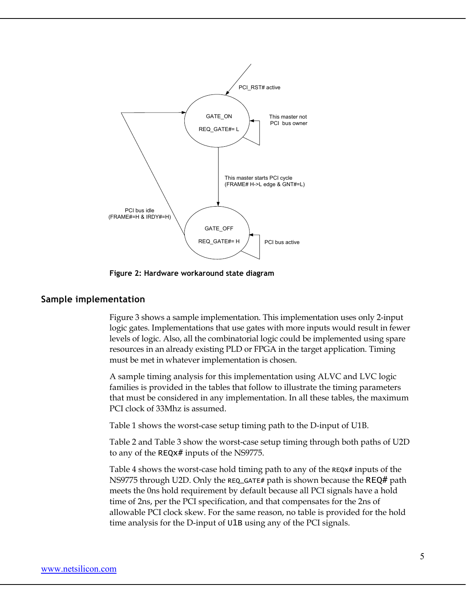

**Figure 2: Hardware workaround state diagram** 

#### **Sample implementation**

Figure 3 shows a sample implementation. This implementation uses only 2-input logic gates. Implementations that use gates with more inputs would result in fewer levels of logic. Also, all the combinatorial logic could be implemented using spare resources in an already existing PLD or FPGA in the target application. Timing must be met in whatever implementation is chosen.

A sample timing analysis for this implementation using ALVC and LVC logic families is provided in the tables that follow to illustrate the timing parameters that must be considered in any implementation. In all these tables, the maximum PCI clock of 33Mhz is assumed.

Table 1 shows the worst-case setup timing path to the D-input of U1B.

Table 2 and Table 3 show the worst-case setup timing through both paths of U2D to any of the REQx# inputs of the NS9775.

Table 4 shows the worst-case hold timing path to any of the REQX# inputs of the NS9775 through U2D. Only the REQ\_GATE# path is shown because the REQ# path meets the 0ns hold requirement by default because all PCI signals have a hold time of 2ns, per the PCI specification, and that compensates for the 2ns of allowable PCI clock skew. For the same reason, no table is provided for the hold time analysis for the D-input of U1B using any of the PCI signals.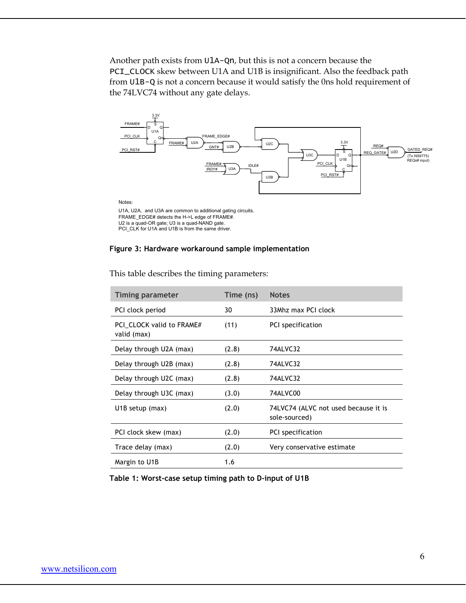Another path exists from U1A-Qn, but this is not a concern because the PCI\_CLOCK skew between U1A and U1B is insignificant. Also the feedback path from U1B-Q is not a concern because it would satisfy the 0ns hold requirement of the 74LVC74 without any gate delays.



#### **Figure 3: Hardware workaround sample implementation**

| <b>Timing parameter</b>                  | Time (ns) | <b>Notes</b>                                          |
|------------------------------------------|-----------|-------------------------------------------------------|
| PCI clock period                         | 30        | 33Mhz max PCI clock                                   |
| PCI CLOCK valid to FRAME#<br>valid (max) | (11)      | PCI specification                                     |
| Delay through U2A (max)                  | (2.8)     | 74ALVC32                                              |
| Delay through U2B (max)                  | (2.8)     | 74ALVC32                                              |
| Delay through U2C (max)                  | (2.8)     | 74ALVC32                                              |
| Delay through U3C (max)                  | (3.0)     | 74ALVC00                                              |
| U <sub>1</sub> B setup (max)             | (2.0)     | 74LVC74 (ALVC not used because it is<br>sole-sourced) |
| PCI clock skew (max)                     | (2.0)     | PCI specification                                     |
| Trace delay (max)                        | (2.0)     | Very conservative estimate                            |
| Margin to U1B                            | 1.6       |                                                       |

This table describes the timing parameters:

**Table 1: Worst-case setup timing path to D-input of U1B**